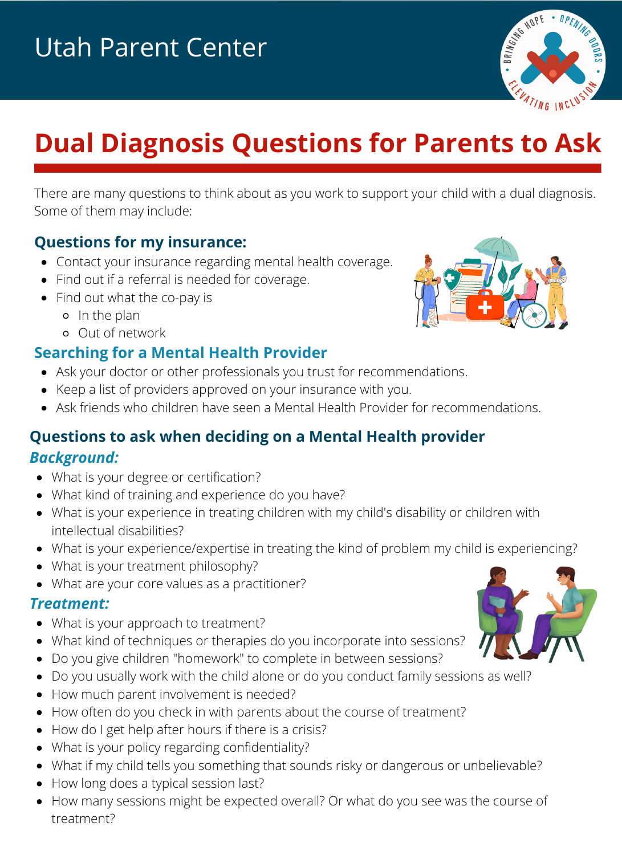

# **Dual Diagnosis Questions for Parents to Ask**

There are many questions to think about as you work to support your child with a dual diagnosis. Some of them may include:

#### **Questions for my insurance:**

- Contact your insurance regarding mental health coverage.
- Find out if a referral is needed for coverage.
- Find out what the co-pay is
	- In the plan
	- Out of network

## **Searching for a Mental Health Provider**

- Ask your doctor or other professionals you trust for recommendations.
- Keep a list of providers approved on your insurance with you.
- Ask friends who children have seen a Mental Health Provider for recommendations.

## **Questions to ask when deciding on a Mental Health provider** *Background:*

- What is your degree or certification?
- What kind of training and experience do you have?
- What is your experience in treating children with my child's disability or children with intellectual disabilities?
- What is your experience/expertise in treating the kind of problem my child is experiencing?
- What is your treatment philosophy?
- What are your core values as a practitioner?

#### *Treatment:*

- What is your approach to treatment?
- What kind of techniques or therapies do you incorporate into sessions?
- Do you give children "homework" to complete in between sessions?
- Do you usually work with the child alone or do you conduct family sessions as well?
- How much parent involvement is needed?
- How often do you check in with parents about the course of treatment?
- How do I get help after hours if there is a crisis?
- What is your policy regarding confidentiality?
- What if my child tells you something that sounds risky or dangerous or unbelievable?
- How long does a typical session last?
- How many sessions might be expected overall? Or what do you see was the course of treatment?